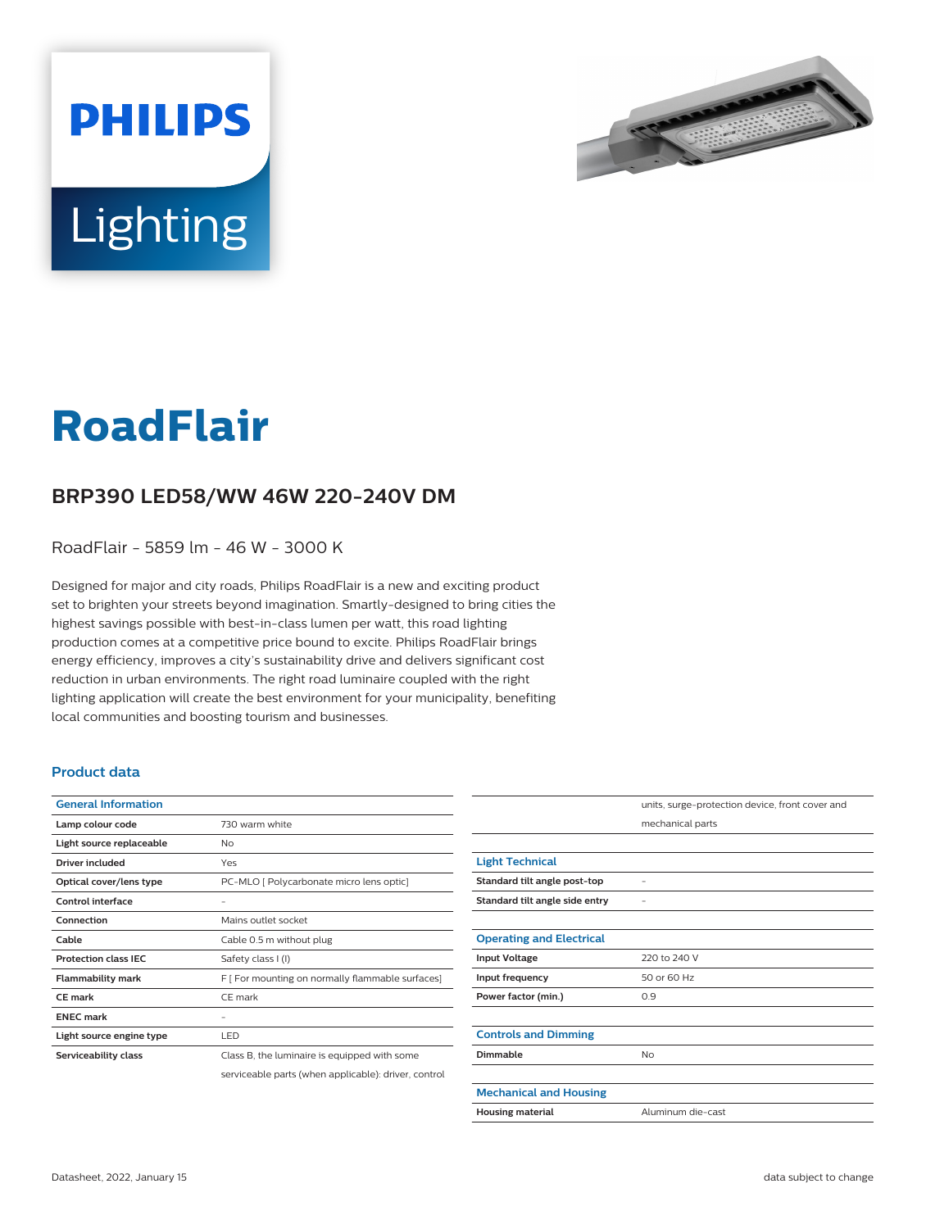



# **RoadFlair**

## **BRP390 LED58/WW 46W 220-240V DM**

RoadFlair - 5859 lm - 46 W - 3000 K

Designed for major and city roads, Philips RoadFlair is a new and exciting product set to brighten your streets beyond imagination. Smartly-designed to bring cities the highest savings possible with best-in-class lumen per watt, this road lighting production comes at a competitive price bound to excite. Philips RoadFlair brings energy efficiency, improves a city's sustainability drive and delivers significant cost reduction in urban environments. The right road luminaire coupled with the right lighting application will create the best environment for your municipality, benefiting local communities and boosting tourism and businesses.

#### **Product data**

| <b>General Information</b>  |                                                      |
|-----------------------------|------------------------------------------------------|
| Lamp colour code            | 730 warm white                                       |
| Light source replaceable    | No                                                   |
| Driver included             | Yes                                                  |
| Optical cover/lens type     | PC-MLO [ Polycarbonate micro lens optic]             |
| Control interface           |                                                      |
| Connection                  | Mains outlet socket                                  |
| Cable                       | Cable 0.5 m without plug                             |
| <b>Protection class IFC</b> | Safety class I (I)                                   |
| <b>Flammability mark</b>    | F [ For mounting on normally flammable surfaces]     |
| CF mark                     | CE mark                                              |
| <b>FNFC</b> mark            |                                                      |
| Light source engine type    | LED                                                  |
| Serviceability class        | Class B, the luminaire is equipped with some         |
|                             | serviceable parts (when applicable): driver, control |

|                                 | units, surge-protection device, front cover and |
|---------------------------------|-------------------------------------------------|
|                                 | mechanical parts                                |
|                                 |                                                 |
| <b>Light Technical</b>          |                                                 |
| Standard tilt angle post-top    |                                                 |
| Standard tilt angle side entry  |                                                 |
|                                 |                                                 |
| <b>Operating and Electrical</b> |                                                 |
| <b>Input Voltage</b>            | 220 to 240 V                                    |
| Input frequency                 | 50 or 60 Hz                                     |
| Power factor (min.)             | 0.9                                             |
|                                 |                                                 |
| <b>Controls and Dimming</b>     |                                                 |
| Dimmable                        | No                                              |
|                                 |                                                 |
| <b>Mechanical and Housing</b>   |                                                 |
| <b>Housing material</b>         | Aluminum die-cast                               |
|                                 |                                                 |